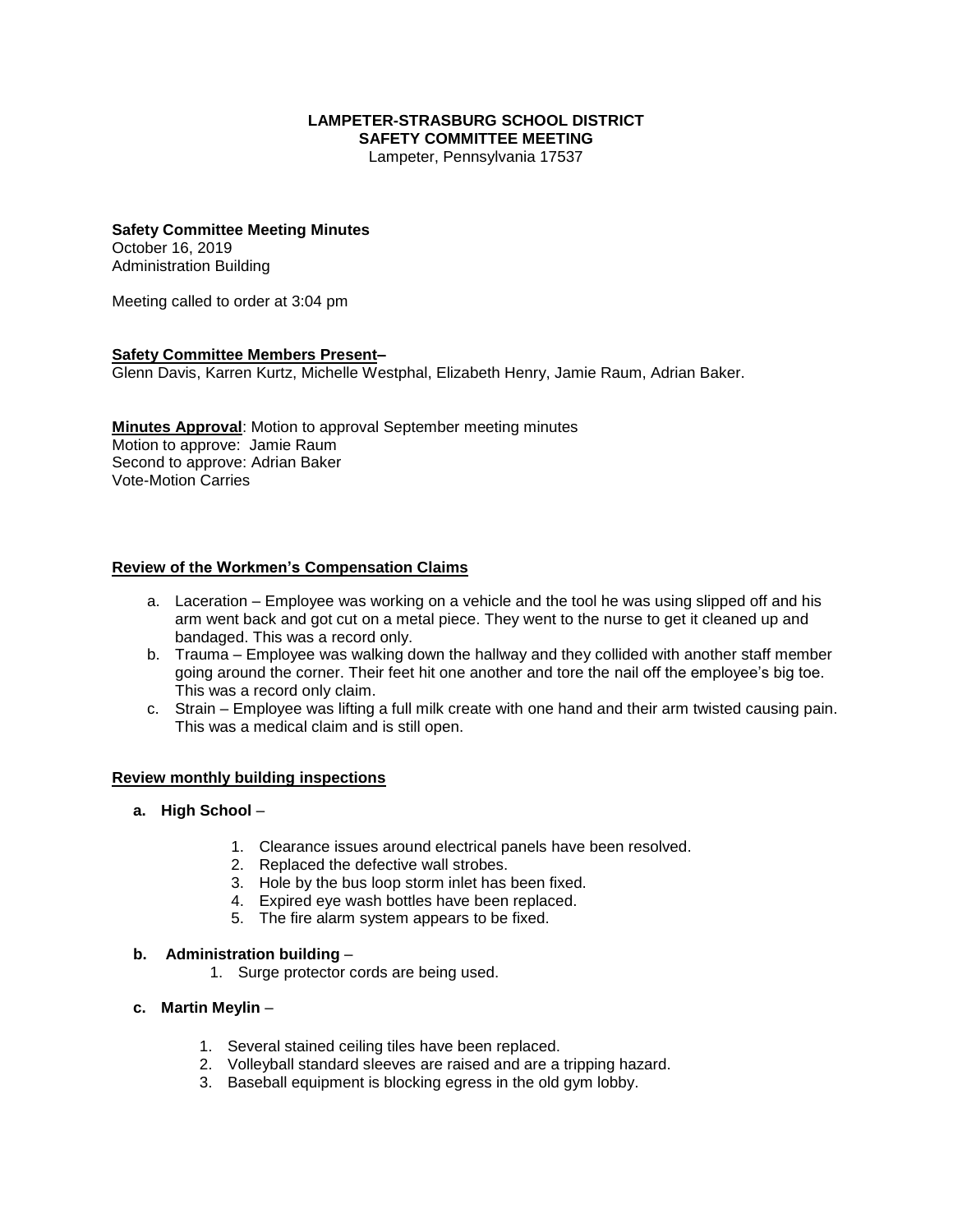#### **LAMPETER-STRASBURG SCHOOL DISTRICT SAFETY COMMITTEE MEETING**

Lampeter, Pennsylvania 17537

# **Safety Committee Meeting Minutes**

October 16, 2019 Administration Building

Meeting called to order at 3:04 pm

#### **Safety Committee Members Present–**

Glenn Davis, Karren Kurtz, Michelle Westphal, Elizabeth Henry, Jamie Raum, Adrian Baker.

**Minutes Approval**: Motion to approval September meeting minutes Motion to approve: Jamie Raum Second to approve: Adrian Baker Vote-Motion Carries

### **Review of the Workmen's Compensation Claims**

- a. Laceration Employee was working on a vehicle and the tool he was using slipped off and his arm went back and got cut on a metal piece. They went to the nurse to get it cleaned up and bandaged. This was a record only.
- b. Trauma Employee was walking down the hallway and they collided with another staff member going around the corner. Their feet hit one another and tore the nail off the employee's big toe. This was a record only claim.
- c. Strain Employee was lifting a full milk create with one hand and their arm twisted causing pain. This was a medical claim and is still open.

### **Review monthly building inspections**

#### **a. High School** –

- 1. Clearance issues around electrical panels have been resolved.
- 2. Replaced the defective wall strobes.
- 3. Hole by the bus loop storm inlet has been fixed.
- 4. Expired eye wash bottles have been replaced.
- 5. The fire alarm system appears to be fixed.

#### **b. Administration building** –

- 1. Surge protector cords are being used.
- **c. Martin Meylin**
	- 1. Several stained ceiling tiles have been replaced.
	- 2. Volleyball standard sleeves are raised and are a tripping hazard.
	- 3. Baseball equipment is blocking egress in the old gym lobby.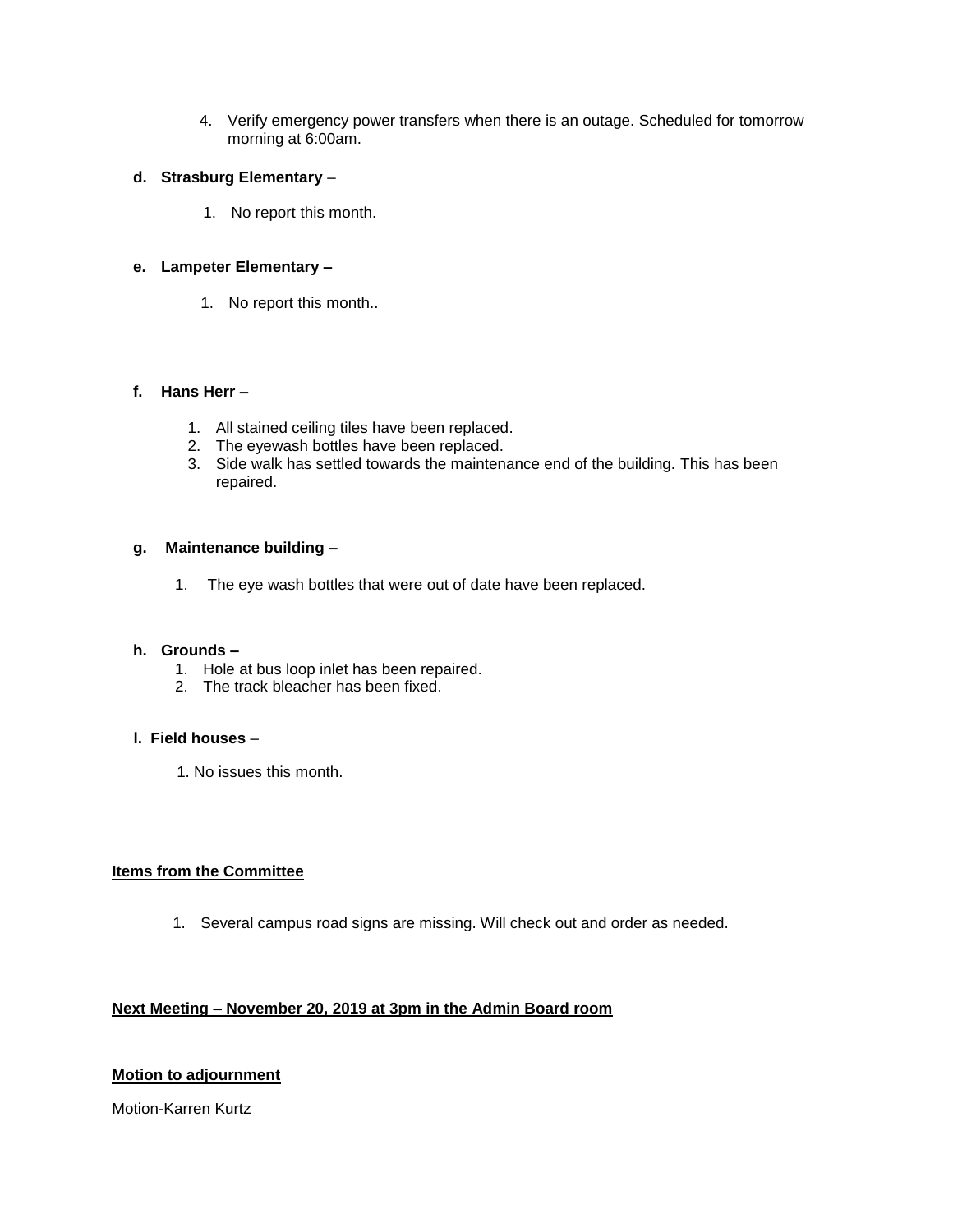4. Verify emergency power transfers when there is an outage. Scheduled for tomorrow morning at 6:00am.

#### **d. Strasburg Elementary** –

1. No report this month.

## **e. Lampeter Elementary –**

1. No report this month..

## **f. Hans Herr –**

- 1. All stained ceiling tiles have been replaced.
- 2. The eyewash bottles have been replaced.
- 3. Side walk has settled towards the maintenance end of the building. This has been repaired.

## **g. Maintenance building –**

1. The eye wash bottles that were out of date have been replaced.

### **h. Grounds –**

- 1. Hole at bus loop inlet has been repaired.
- 2. The track bleacher has been fixed.

## **l. Field houses** –

1. No issues this month.

## **Items from the Committee**

1. Several campus road signs are missing. Will check out and order as needed.

# **Next Meeting – November 20, 2019 at 3pm in the Admin Board room**

# **Motion to adjournment**

Motion-Karren Kurtz